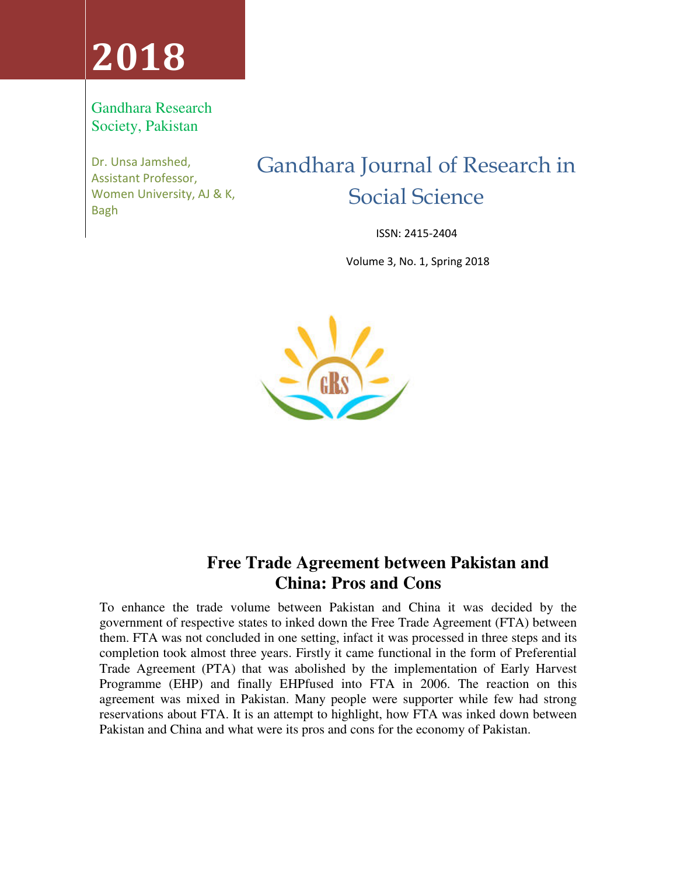# **2018**

## Gandhara Research Society, Pakistan

Dr. Unsa Jamshed, Assistant Professor, Women University, AJ & K, Bagh

## Gandhara Journal of Research in Social Science

ISSN: 2415-2404

Volume 3, No. 1, Spring 2018



## **Free Trade Agreement between Pakistan and China: Pros and Cons**

To enhance the trade volume between Pakistan and China it was decided by the government of respective states to inked down the Free Trade Agreement (FTA) between them. FTA was not concluded in one setting, infact it was processed in three steps and its completion took almost three years. Firstly it came functional in the form of Preferential Trade Agreement (PTA) that was abolished by the implementation of Early Harvest Programme (EHP) and finally EHPfused into FTA in 2006. The reaction on this agreement was mixed in Pakistan. Many people were supporter while few had strong reservations about FTA. It is an attempt to highlight, how FTA was inked down between Pakistan and China and what were its pros and cons for the economy of Pakistan.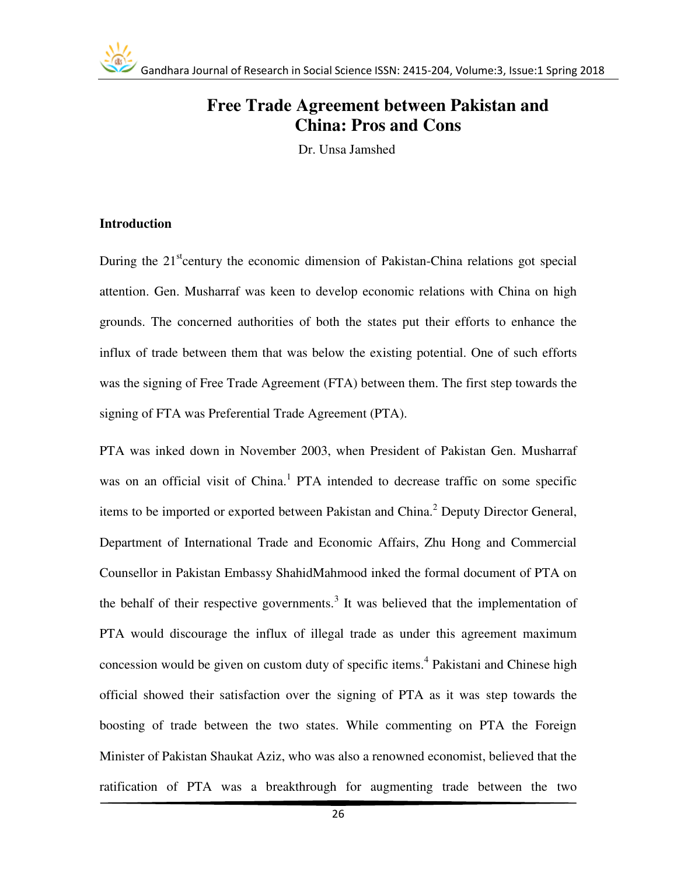

Dr. Unsa Jamshed

#### **Introduction**

During the 21<sup>st</sup>century the economic dimension of Pakistan-China relations got special attention. Gen. Musharraf was keen to develop economic relations with China on high grounds. The concerned authorities of both the states put their efforts to enhance the influx of trade between them that was below the existing potential. One of such efforts was the signing of Free Trade Agreement (FTA) between them. The first step towards the signing of FTA was Preferential Trade Agreement (PTA).

PTA was inked down in November 2003, when President of Pakistan Gen. Musharraf was on an official visit of China.<sup>1</sup> PTA intended to decrease traffic on some specific items to be imported or exported between Pakistan and China.<sup>2</sup> Deputy Director General, Department of International Trade and Economic Affairs, Zhu Hong and Commercial Counsellor in Pakistan Embassy ShahidMahmood inked the formal document of PTA on the behalf of their respective governments.<sup>3</sup> It was believed that the implementation of PTA would discourage the influx of illegal trade as under this agreement maximum concession would be given on custom duty of specific items.<sup>4</sup> Pakistani and Chinese high official showed their satisfaction over the signing of PTA as it was step towards the boosting of trade between the two states. While commenting on PTA the Foreign Minister of Pakistan Shaukat Aziz, who was also a renowned economist, believed that the ratification of PTA was a breakthrough for augmenting trade between the two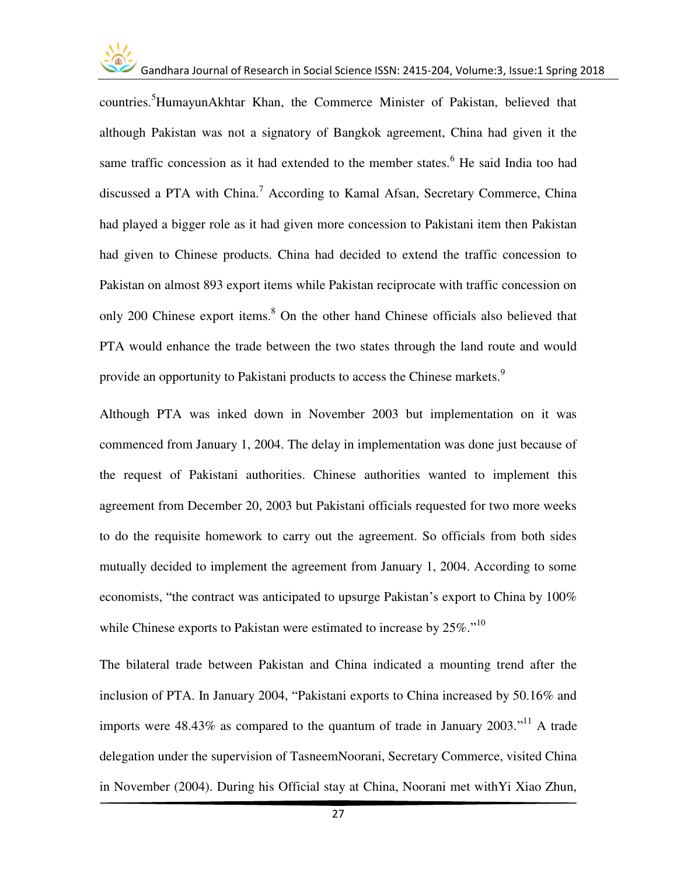

countries.<sup>5</sup>HumayunAkhtar Khan, the Commerce Minister of Pakistan, believed that although Pakistan was not a signatory of Bangkok agreement, China had given it the same traffic concession as it had extended to the member states.<sup>6</sup> He said India too had discussed a PTA with China.<sup>7</sup> According to Kamal Afsan, Secretary Commerce, China had played a bigger role as it had given more concession to Pakistani item then Pakistan had given to Chinese products. China had decided to extend the traffic concession to Pakistan on almost 893 export items while Pakistan reciprocate with traffic concession on only 200 Chinese export items.<sup>8</sup> On the other hand Chinese officials also believed that PTA would enhance the trade between the two states through the land route and would provide an opportunity to Pakistani products to access the Chinese markets.<sup>9</sup>

Although PTA was inked down in November 2003 but implementation on it was commenced from January 1, 2004. The delay in implementation was done just because of the request of Pakistani authorities. Chinese authorities wanted to implement this agreement from December 20, 2003 but Pakistani officials requested for two more weeks to do the requisite homework to carry out the agreement. So officials from both sides mutually decided to implement the agreement from January 1, 2004. According to some economists, "the contract was anticipated to upsurge Pakistan's export to China by 100% while Chinese exports to Pakistan were estimated to increase by  $25\%$ ."<sup>10</sup>

The bilateral trade between Pakistan and China indicated a mounting trend after the inclusion of PTA. In January 2004, "Pakistani exports to China increased by 50.16% and imports were  $48.43\%$  as compared to the quantum of trade in January 2003."<sup>11</sup> A trade delegation under the supervision of TasneemNoorani, Secretary Commerce, visited China in November (2004). During his Official stay at China, Noorani met withYi Xiao Zhun,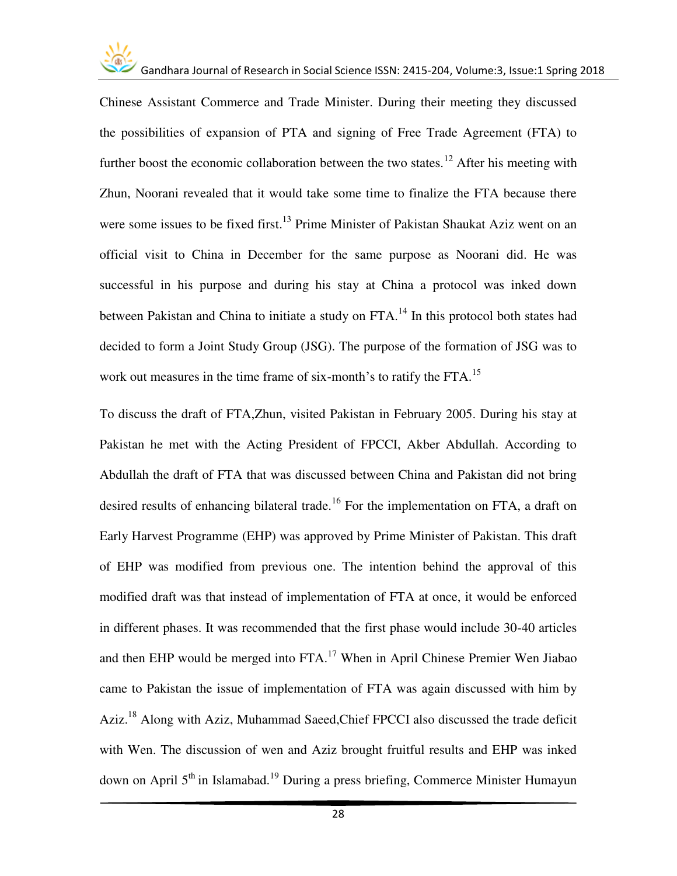

Chinese Assistant Commerce and Trade Minister. During their meeting they discussed the possibilities of expansion of PTA and signing of Free Trade Agreement (FTA) to further boost the economic collaboration between the two states.<sup>12</sup> After his meeting with Zhun, Noorani revealed that it would take some time to finalize the FTA because there were some issues to be fixed first.<sup>13</sup> Prime Minister of Pakistan Shaukat Aziz went on an official visit to China in December for the same purpose as Noorani did. He was successful in his purpose and during his stay at China a protocol was inked down between Pakistan and China to initiate a study on FTA.<sup>14</sup> In this protocol both states had decided to form a Joint Study Group (JSG). The purpose of the formation of JSG was to work out measures in the time frame of six-month's to ratify the  $FTA$ <sup>15</sup>.

To discuss the draft of FTA,Zhun, visited Pakistan in February 2005. During his stay at Pakistan he met with the Acting President of FPCCI, Akber Abdullah. According to Abdullah the draft of FTA that was discussed between China and Pakistan did not bring desired results of enhancing bilateral trade.<sup>16</sup> For the implementation on FTA, a draft on Early Harvest Programme (EHP) was approved by Prime Minister of Pakistan. This draft of EHP was modified from previous one. The intention behind the approval of this modified draft was that instead of implementation of FTA at once, it would be enforced in different phases. It was recommended that the first phase would include 30-40 articles and then EHP would be merged into FTA.<sup>17</sup> When in April Chinese Premier Wen Jiabao came to Pakistan the issue of implementation of FTA was again discussed with him by Aziz.<sup>18</sup> Along with Aziz, Muhammad Saeed, Chief FPCCI also discussed the trade deficit with Wen. The discussion of wen and Aziz brought fruitful results and EHP was inked down on April  $5<sup>th</sup>$  in Islamabad.<sup>19</sup> During a press briefing, Commerce Minister Humayun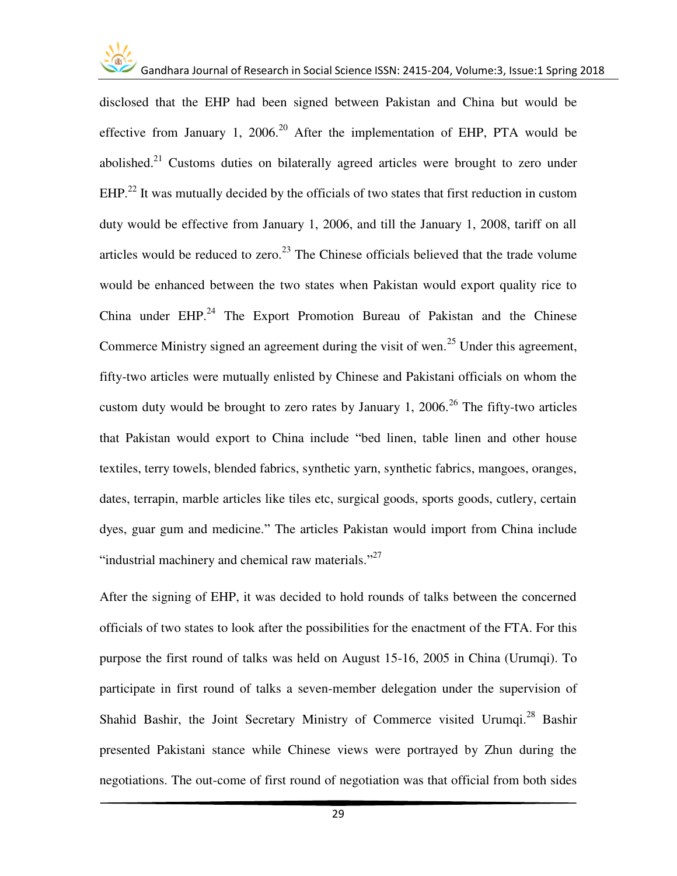

disclosed that the EHP had been signed between Pakistan and China but would be effective from January 1, 2006.<sup>20</sup> After the implementation of EHP, PTA would be abolished.<sup>21</sup> Customs duties on bilaterally agreed articles were brought to zero under  $EHP<sup>22</sup>$  It was mutually decided by the officials of two states that first reduction in custom duty would be effective from January 1, 2006, and till the January 1, 2008, tariff on all articles would be reduced to zero.<sup>23</sup> The Chinese officials believed that the trade volume would be enhanced between the two states when Pakistan would export quality rice to China under  $EHP<sup>24</sup>$  The Export Promotion Bureau of Pakistan and the Chinese Commerce Ministry signed an agreement during the visit of wen.<sup>25</sup> Under this agreement, fifty-two articles were mutually enlisted by Chinese and Pakistani officials on whom the custom duty would be brought to zero rates by January 1, 2006.<sup>26</sup> The fifty-two articles that Pakistan would export to China include "bed linen, table linen and other house textiles, terry towels, blended fabrics, synthetic yarn, synthetic fabrics, mangoes, oranges, dates, terrapin, marble articles like tiles etc, surgical goods, sports goods, cutlery, certain dyes, guar gum and medicine." The articles Pakistan would import from China include "industrial machinery and chemical raw materials."<sup>27</sup>

After the signing of EHP, it was decided to hold rounds of talks between the concerned officials of two states to look after the possibilities for the enactment of the FTA. For this purpose the first round of talks was held on August 15-16, 2005 in China (Urumqi). To participate in first round of talks a seven-member delegation under the supervision of Shahid Bashir, the Joint Secretary Ministry of Commerce visited Urumqi.<sup>28</sup> Bashir presented Pakistani stance while Chinese views were portrayed by Zhun during the negotiations. The out-come of first round of negotiation was that official from both sides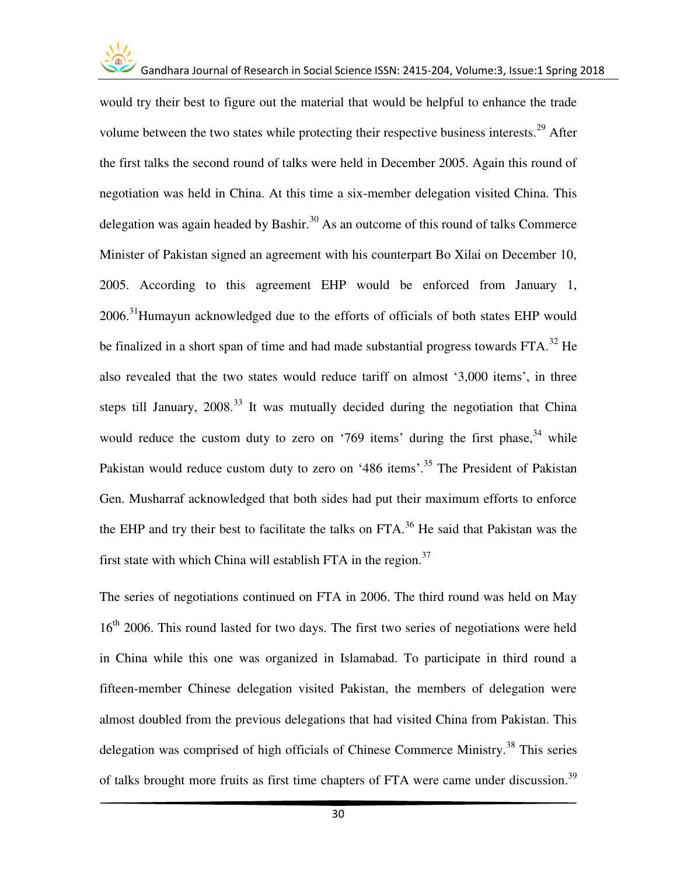

would try their best to figure out the material that would be helpful to enhance the trade volume between the two states while protecting their respective business interests.<sup>29</sup> After the first talks the second round of talks were held in December 2005. Again this round of negotiation was held in China. At this time a six-member delegation visited China. This delegation was again headed by Bashir.<sup>30</sup> As an outcome of this round of talks Commerce Minister of Pakistan signed an agreement with his counterpart Bo Xilai on December 10, 2005. According to this agreement EHP would be enforced from January 1,  $2006.<sup>31</sup>$ Humayun acknowledged due to the efforts of officials of both states EHP would be finalized in a short span of time and had made substantial progress towards  $FTA$ <sup>32</sup> He also revealed that the two states would reduce tariff on almost '3,000 items', in three steps till January,  $2008<sup>33</sup>$  It was mutually decided during the negotiation that China would reduce the custom duty to zero on '769 items' during the first phase,  $34$  while Pakistan would reduce custom duty to zero on '486 items'.<sup>35</sup> The President of Pakistan Gen. Musharraf acknowledged that both sides had put their maximum efforts to enforce the EHP and try their best to facilitate the talks on FTA.<sup>36</sup> He said that Pakistan was the first state with which China will establish FTA in the region.<sup>37</sup>

The series of negotiations continued on FTA in 2006. The third round was held on May 16<sup>th</sup> 2006. This round lasted for two days. The first two series of negotiations were held in China while this one was organized in Islamabad. To participate in third round a fifteen-member Chinese delegation visited Pakistan, the members of delegation were almost doubled from the previous delegations that had visited China from Pakistan. This delegation was comprised of high officials of Chinese Commerce Ministry.<sup>38</sup> This series of talks brought more fruits as first time chapters of FTA were came under discussion.<sup>39</sup>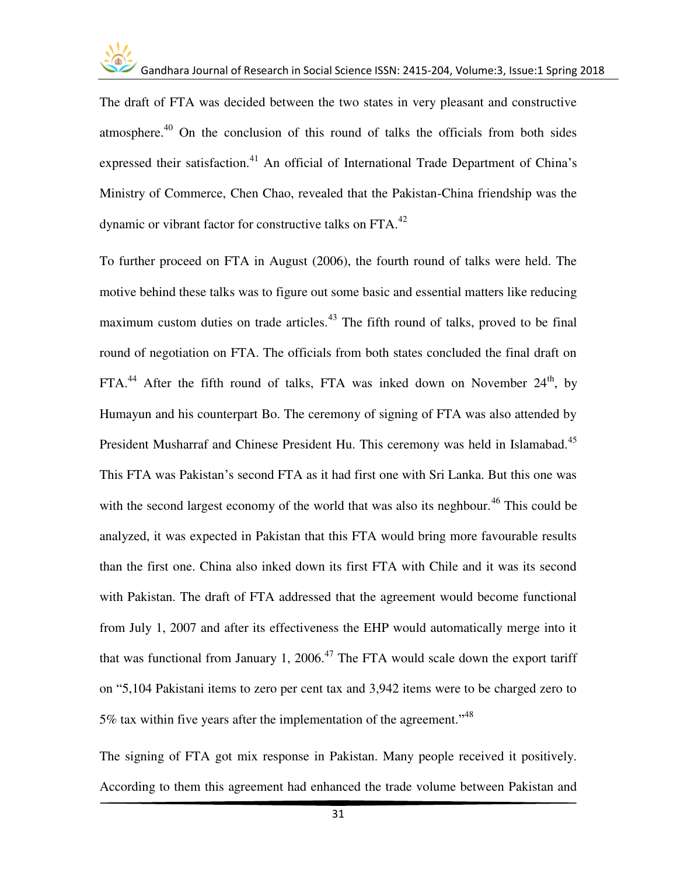The draft of FTA was decided between the two states in very pleasant and constructive atmosphere.<sup>40</sup> On the conclusion of this round of talks the officials from both sides expressed their satisfaction.<sup>41</sup> An official of International Trade Department of China's Ministry of Commerce, Chen Chao, revealed that the Pakistan-China friendship was the dynamic or vibrant factor for constructive talks on FTA.<sup>42</sup>

To further proceed on FTA in August (2006), the fourth round of talks were held. The motive behind these talks was to figure out some basic and essential matters like reducing maximum custom duties on trade articles.<sup> $43$ </sup> The fifth round of talks, proved to be final round of negotiation on FTA. The officials from both states concluded the final draft on  $FTA<sup>44</sup>$  After the fifth round of talks, FTA was inked down on November 24<sup>th</sup>, by Humayun and his counterpart Bo. The ceremony of signing of FTA was also attended by President Musharraf and Chinese President Hu. This ceremony was held in Islamabad.<sup>45</sup> This FTA was Pakistan's second FTA as it had first one with Sri Lanka. But this one was with the second largest economy of the world that was also its neghbour.<sup>46</sup> This could be analyzed, it was expected in Pakistan that this FTA would bring more favourable results than the first one. China also inked down its first FTA with Chile and it was its second with Pakistan. The draft of FTA addressed that the agreement would become functional from July 1, 2007 and after its effectiveness the EHP would automatically merge into it that was functional from January 1, 2006.<sup>47</sup> The FTA would scale down the export tariff on "5,104 Pakistani items to zero per cent tax and 3,942 items were to be charged zero to 5% tax within five years after the implementation of the agreement."<sup>48</sup>

The signing of FTA got mix response in Pakistan. Many people received it positively. According to them this agreement had enhanced the trade volume between Pakistan and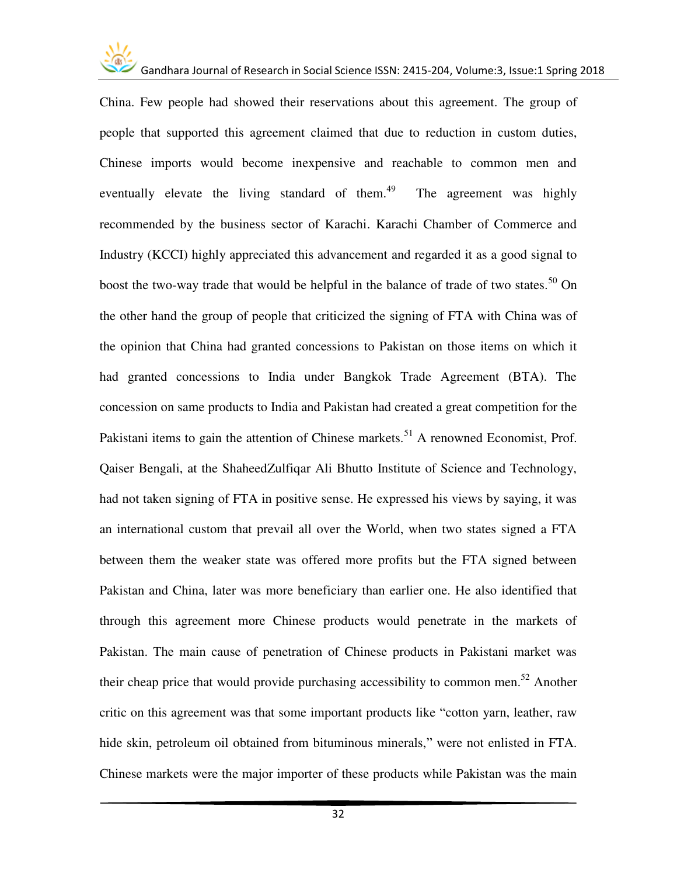

China. Few people had showed their reservations about this agreement. The group of people that supported this agreement claimed that due to reduction in custom duties, Chinese imports would become inexpensive and reachable to common men and eventually elevate the living standard of them.<sup>49</sup> The agreement was highly recommended by the business sector of Karachi. Karachi Chamber of Commerce and Industry (KCCI) highly appreciated this advancement and regarded it as a good signal to boost the two-way trade that would be helpful in the balance of trade of two states.<sup>50</sup> On the other hand the group of people that criticized the signing of FTA with China was of the opinion that China had granted concessions to Pakistan on those items on which it had granted concessions to India under Bangkok Trade Agreement (BTA). The concession on same products to India and Pakistan had created a great competition for the Pakistani items to gain the attention of Chinese markets.<sup>51</sup> A renowned Economist, Prof. Qaiser Bengali, at the ShaheedZulfiqar Ali Bhutto Institute of Science and Technology, had not taken signing of FTA in positive sense. He expressed his views by saying, it was an international custom that prevail all over the World, when two states signed a FTA between them the weaker state was offered more profits but the FTA signed between Pakistan and China, later was more beneficiary than earlier one. He also identified that through this agreement more Chinese products would penetrate in the markets of Pakistan. The main cause of penetration of Chinese products in Pakistani market was their cheap price that would provide purchasing accessibility to common men.<sup>52</sup> Another critic on this agreement was that some important products like "cotton yarn, leather, raw hide skin, petroleum oil obtained from bituminous minerals," were not enlisted in FTA. Chinese markets were the major importer of these products while Pakistan was the main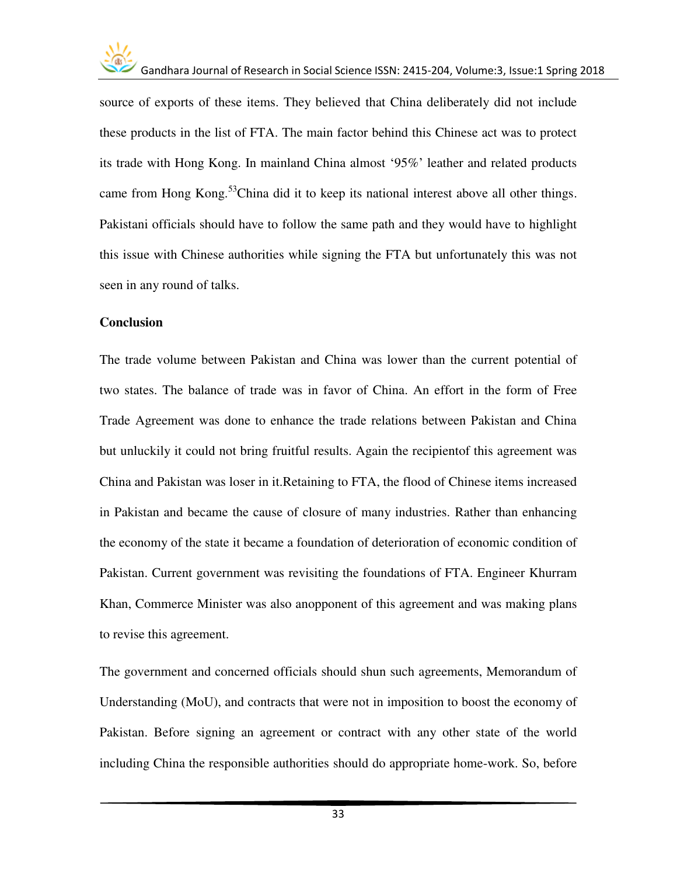

source of exports of these items. They believed that China deliberately did not include these products in the list of FTA. The main factor behind this Chinese act was to protect its trade with Hong Kong. In mainland China almost '95%' leather and related products came from Hong Kong.<sup>53</sup>China did it to keep its national interest above all other things. Pakistani officials should have to follow the same path and they would have to highlight this issue with Chinese authorities while signing the FTA but unfortunately this was not seen in any round of talks.

#### **Conclusion**

The trade volume between Pakistan and China was lower than the current potential of two states. The balance of trade was in favor of China. An effort in the form of Free Trade Agreement was done to enhance the trade relations between Pakistan and China but unluckily it could not bring fruitful results. Again the recipientof this agreement was China and Pakistan was loser in it.Retaining to FTA, the flood of Chinese items increased in Pakistan and became the cause of closure of many industries. Rather than enhancing the economy of the state it became a foundation of deterioration of economic condition of Pakistan. Current government was revisiting the foundations of FTA. Engineer Khurram Khan, Commerce Minister was also anopponent of this agreement and was making plans to revise this agreement.

The government and concerned officials should shun such agreements, Memorandum of Understanding (MoU), and contracts that were not in imposition to boost the economy of Pakistan. Before signing an agreement or contract with any other state of the world including China the responsible authorities should do appropriate home-work. So, before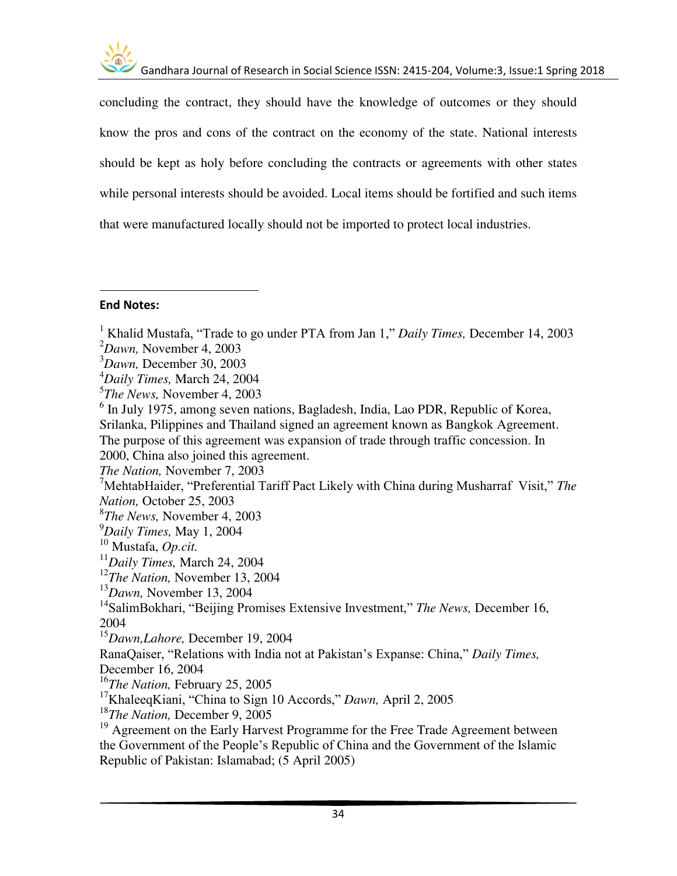

concluding the contract, they should have the knowledge of outcomes or they should know the pros and cons of the contract on the economy of the state. National interests should be kept as holy before concluding the contracts or agreements with other states while personal interests should be avoided. Local items should be fortified and such items that were manufactured locally should not be imported to protect local industries.

### **End Notes:**

l

*The Nation,* November 7, 2003

<sup>7</sup>MehtabHaider, "Preferential Tariff Pact Likely with China during Musharraf Visit," *The Nation,* October 25, 2003

<sup>14</sup>SalimBokhari, "Beijing Promises Extensive Investment," *The News,* December 16, 2004

<sup>15</sup>*Dawn,Lahore,* December 19, 2004

RanaQaiser, "Relations with India not at Pakistan's Expanse: China," *Daily Times,*

December 16, 2004

<sup>16</sup>*The Nation,* February 25, 2005

<sup>18</sup>*The Nation,* December 9, 2005

<sup>19</sup> Agreement on the Early Harvest Programme for the Free Trade Agreement between the Government of the People's Republic of China and the Government of the Islamic Republic of Pakistan: Islamabad; (5 April 2005)

<sup>1</sup> Khalid Mustafa, "Trade to go under PTA from Jan 1," *Daily Times,* December 14, 2003

<sup>2</sup>*Dawn,* November 4, 2003

<sup>3</sup>*Dawn,* December 30, 2003

<sup>4</sup>*Daily Times,* March 24, 2004

<sup>5</sup> *The News,* November 4, 2003

<sup>&</sup>lt;sup>6</sup> In July 1975, among seven nations, Bagladesh, India, Lao PDR, Republic of Korea, Srilanka, Pilippines and Thailand signed an agreement known as Bangkok Agreement. The purpose of this agreement was expansion of trade through traffic concession. In 2000, China also joined this agreement.

<sup>8</sup> *The News,* November 4, 2003

<sup>9</sup>*Daily Times,* May 1, 2004

<sup>10</sup> Mustafa, *Op.cit.*

<sup>11</sup>*Daily Times,* March 24, 2004

<sup>12</sup>*The Nation,* November 13, 2004

<sup>13</sup>*Dawn,* November 13, 2004

<sup>17</sup>KhaleeqKiani, "China to Sign 10 Accords," *Dawn,* April 2, 2005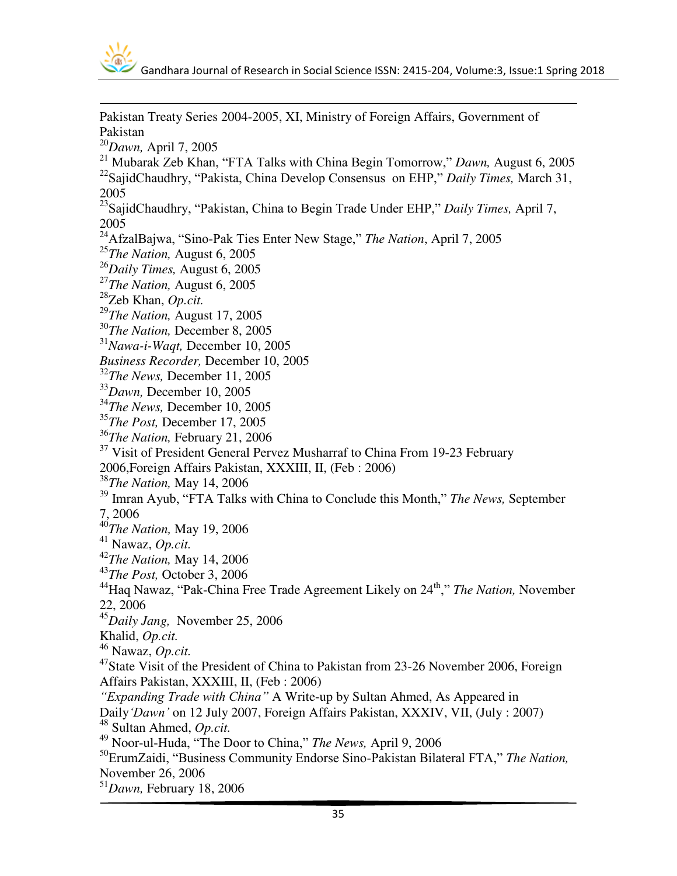

 $\overline{a}$ Pakistan Treaty Series 2004-2005, XI, Ministry of Foreign Affairs, Government of Pakistan *Dawn,* April 7, 2005 Mubarak Zeb Khan, "FTA Talks with China Begin Tomorrow," *Dawn,* August 6, 2005 SajidChaudhry, "Pakista, China Develop Consensus on EHP," *Daily Times,* March 31, SajidChaudhry, "Pakistan, China to Begin Trade Under EHP," *Daily Times,* April 7, AfzalBajwa, "Sino-Pak Ties Enter New Stage," *The Nation*, April 7, 2005 *The Nation,* August 6, 2005 *Daily Times,* August 6, 2005 *The Nation,* August 6, 2005 Zeb Khan, *Op.cit. The Nation,* August 17, 2005 *The Nation,* December 8, 2005 *Nawa-i-Waqt,* December 10, 2005 *Business Recorder,* December 10, 2005 *The News,* December 11, 2005 *Dawn,* December 10, 2005 *The News,* December 10, 2005 *The Post,* December 17, 2005 *The Nation,* February 21, 2006 <sup>37</sup> Visit of President General Pervez Musharraf to China From 19-23 February 2006,Foreign Affairs Pakistan, XXXIII, II, (Feb : 2006) *The Nation,* May 14, 2006 Imran Ayub, "FTA Talks with China to Conclude this Month," *The News,* September 7, 2006 *The Nation,* May 19, 2006 Nawaz, *Op.cit. The Nation,* May 14, 2006 *The Post,* October 3, 2006 Haq Nawaz, "Pak-China Free Trade Agreement Likely on 24th," *The Nation,* November 22, 2006 *Daily Jang,* November 25, 2006 Khalid, *Op.cit.* Nawaz, *Op.cit.* <sup>47</sup>State Visit of the President of China to Pakistan from 23-26 November 2006, Foreign Affairs Pakistan, XXXIII, II, (Feb : 2006) *"Expanding Trade with China"* A Write-up by Sultan Ahmed, As Appeared in Daily*'Dawn'* on 12 July 2007, Foreign Affairs Pakistan, XXXIV, VII, (July : 2007) Sultan Ahmed, *Op.cit.* Noor-ul-Huda, "The Door to China," *The News,* April 9, 2006 ErumZaidi, "Business Community Endorse Sino-Pakistan Bilateral FTA," *The Nation,* November 26, 2006 *Dawn,* February 18, 2006